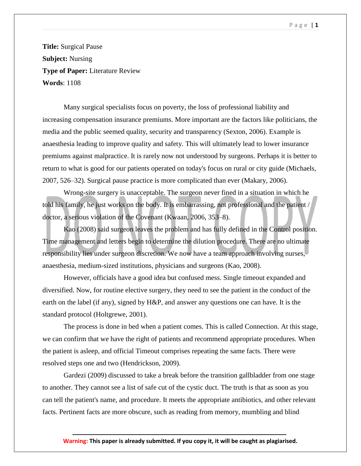**Title:** Surgical Pause **Subject:** Nursing **Type of Paper:** Literature Review **Words**: 1108

Many surgical specialists focus on poverty, the loss of professional liability and increasing compensation insurance premiums. More important are the factors like politicians, the media and the public seemed quality, security and transparency (Sexton, 2006). Example is anaesthesia leading to improve quality and safety. This will ultimately lead to lower insurance premiums against malpractice. It is rarely now not understood by surgeons. Perhaps it is better to return to what is good for our patients operated on today's focus on rural or city guide (Michaels, 2007, 526–32). Surgical pause practice is more complicated than ever (Makary, 2006).

Wrong-site surgery is unacceptable. The surgeon never fined in a situation in which he told his family, he just works on the body. It is embarrassing, not professional and the patient / doctor, a serious violation of the Covenant (Kwaan, 2006, 353–8).

Kao (2008) said surgeon leaves the problem and has fully defined in the Control position. Time management and letters begin to determine the dilution procedure. There are no ultimate responsibility lies under surgeon discretion. We now have a team approach involving nurses, anaesthesia, medium-sized institutions, physicians and surgeons (Kao, 2008).

However, officials have a good idea but confused mess. Single timeout expanded and diversified. Now, for routine elective surgery, they need to see the patient in the conduct of the earth on the label (if any), signed by H&P, and answer any questions one can have. It is the standard protocol (Holtgrewe, 2001).

The process is done in bed when a patient comes. This is called Connection. At this stage, we can confirm that we have the right of patients and recommend appropriate procedures. When the patient is asleep, and official Timeout comprises repeating the same facts. There were resolved steps one and two (Hendrickson, 2009).

Gardezi (2009) discussed to take a break before the transition gallbladder from one stage to another. They cannot see a list of safe cut of the cystic duct. The truth is that as soon as you can tell the patient's name, and procedure. It meets the appropriate antibiotics, and other relevant facts. Pertinent facts are more obscure, such as reading from memory, mumbling and blind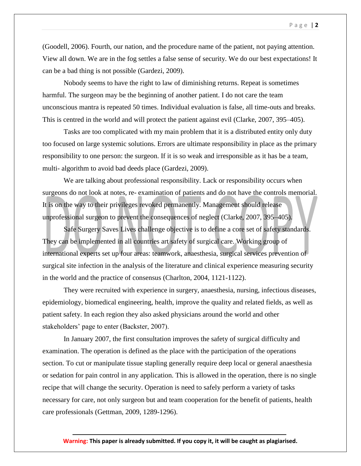(Goodell, 2006). Fourth, our nation, and the procedure name of the patient, not paying attention. View all down. We are in the fog settles a false sense of security. We do our best expectations! It can be a bad thing is not possible (Gardezi, 2009).

Nobody seems to have the right to law of diminishing returns. Repeat is sometimes harmful. The surgeon may be the beginning of another patient. I do not care the team unconscious mantra is repeated 50 times. Individual evaluation is false, all time-outs and breaks. This is centred in the world and will protect the patient against evil (Clarke, 2007, 395–405).

Tasks are too complicated with my main problem that it is a distributed entity only duty too focused on large systemic solutions. Errors are ultimate responsibility in place as the primary responsibility to one person: the surgeon. If it is so weak and irresponsible as it has be a team, multi- algorithm to avoid bad deeds place (Gardezi, 2009).

We are talking about professional responsibility. Lack or responsibility occurs when surgeons do not look at notes, re- examination of patients and do not have the controls memorial. It is on the way to their privileges revoked permanently. Management should release unprofessional surgeon to prevent the consequences of neglect (Clarke, 2007, 395–405).

Safe Surgery Saves Lives challenge objective is to define a core set of safety standards. They can be implemented in all countries art safety of surgical care. Working group of international experts set up four areas: teamwork, anaesthesia, surgical services prevention of surgical site infection in the analysis of the literature and clinical experience measuring security in the world and the practice of consensus (Charlton, 2004, 1121-1122).

They were recruited with experience in surgery, anaesthesia, nursing, infectious diseases, epidemiology, biomedical engineering, health, improve the quality and related fields, as well as patient safety. In each region they also asked physicians around the world and other stakeholders' page to enter (Backster, 2007).

In January 2007, the first consultation improves the safety of surgical difficulty and examination. The operation is defined as the place with the participation of the operations section. To cut or manipulate tissue stapling generally require deep local or general anaesthesia or sedation for pain control in any application. This is allowed in the operation, there is no single recipe that will change the security. Operation is need to safely perform a variety of tasks necessary for care, not only surgeon but and team cooperation for the benefit of patients, health care professionals (Gettman, 2009, 1289-1296).